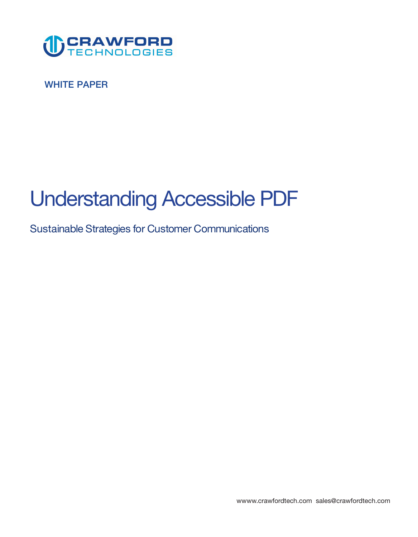

**WHITE PAPER** 

# **Understanding Accessible PDF**

**Sustainable Strategies for Customer Communications** 

**<wwww.crawfordtech.com>[sales@crawfordtech.com](mailto:sales@crawfordtech.com)**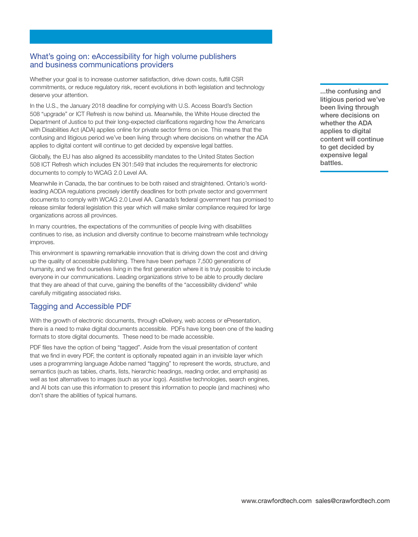#### **What's going on: eAccessibility for high volume publishers and business communications providers**

**Whether your goal is to increase customer satisfaction, drive down costs, fulfill CSR commitments, or reduce regulatory risk, recent evolutions in both legislation and technology deserve your attention.** 

**In the U.S., the January 2018 deadline for complying with U.S. Access Board's Section 508 "upgrade" or ICT Refresh is now behind us. Meanwhile, the White House directed the Department of Justice to put their long-expected clarifications regarding how the Americans with Disabilities Act (ADA) applies online for private sector firms on ice. This means that the confusing and litigious period we've been living through where decisions on whether the ADA applies to digital content will continue to get decided by expensive legal battles.** 

**Globally, the EU has also aligned its accessibility mandates to the United States Section 508 ICT Refresh which includes EN 301:549 that includes the requirements for electronic documents to comply to WCAG 2.0 Level AA.** 

**Meanwhile in Canada, the bar continues to be both raised and straightened. Ontario's worldleading AODA regulations precisely identify deadlines for both private sector and government documents to comply with WCAG 2.0 Level AA. Canada's federal government has promised to release similar federal legislation this year which will make similar compliance required for large organizations across all provinces.** 

**In many countries, the expectations of the communities of people living with disabilities continues to rise, as inclusion and diversity continue to become mainstream while technology improves.** 

**This environment is spawning remarkable innovation that is driving down the cost and driving up the quality of accessible publishing. There have been perhaps 7,500 generations of humanity, and we find ourselves living in the first generation where it is truly possible to include everyone in our communications. Leading organizations strive to be able to proudly declare that they are ahead of that curve, gaining the benefits of the "accessibility dividend" while carefully mitigating associated risks.** 

## **Tagging and Accessible PDF**

**With the growth of electronic documents, through eDelivery, web access or ePresentation, there is a need to make digital documents accessible. PDFs have long been one of the leading formats to store digital documents. These need to be made accessible.** 

**PDF files have the option of being "tagged". Aside from the visual presentation of content that we find in every PDF, the content is optionally repeated again in an invisible layer which uses a programming language Adobe named "tagging" to represent the words, structure, and semantics (such as tables, charts, lists, hierarchic headings, reading order, and emphasis) as well as text alternatives to images (such as your logo). Assistive technologies, search engines, and AI bots can use this information to present this information to people (and machines) who don't share the abilities of typical humans.** 

**...the confusing and litigious period we've been living through where decisions on whether the ADA applies to digital content will continue to get decided by expensive legal battles.**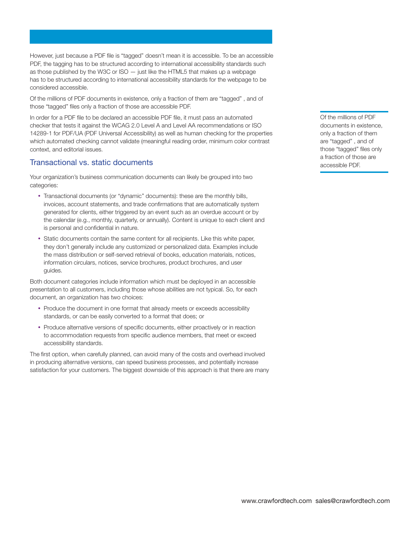**However, just because a PDF file is "tagged" doesn't mean it is accessible. To be an accessible PDF, the tagging has to be structured according to international accessibility standards such as those published by the W3C or ISO — just like the HTML5 that makes up a webpage has to be structured according to international accessibility standards for the webpage to be considered accessible.** 

**Of the millions of PDF documents in existence, only a fraction of them are "tagged" , and of those "tagged" files only a fraction of those are accessible PDF.** 

**In order for a PDF file to be declared an accessible PDF file, it must pass an automated checker that tests it against the WCAG 2.0 Level A and Level AA recommendations or ISO 14289-1 for PDF/UA (PDF Universal Accessibility) as well as human checking for the properties which automated checking cannot validate (meaningful reading order, minimum color contrast context, and editorial issues.** 

#### **Transactional vs. static documents**

**Your organization's business communication documents can likely be grouped into two categories:** 

- **Transactional documents (or "dynamic" documents): these are the monthly bills, invoices, account statements, and trade confirmations that are automatically system generated for clients, either triggered by an event such as an overdue account or by the calendar (e.g., monthly, quarterly, or annually). Content is unique to each client and is personal and confidential in nature.**
- **Static documents contain the same content for all recipients. Like this white paper, they don't generally include any customized or personalized data. Examples include the mass distribution or self-served retrieval of books, education materials, notices, information circulars, notices, service brochures, product brochures, and user guides.**

**Both document categories include information which must be deployed in an accessible presentation to all customers, including those whose abilities are not typical. So, for each document, an organization has two choices:** 

- **Produce the document in one format that already meets or exceeds accessibility standards, or can be easily converted to a format that does; or**
- **Produce alternative versions of specific documents, either proactively or in reaction to accommodation requests from specific audience members, that meet or exceed accessibility standards.**

**The first option, when carefully planned, can avoid many of the costs and overhead involved in producing alternative versions, can speed business processes, and potentially increase satisfaction for your customers. The biggest downside of this approach is that there are many** 

**Of the millions of PDF documents in existence, only a fraction of them are "tagged" , and of those "tagged" files only a fraction of those are accessible PDF.**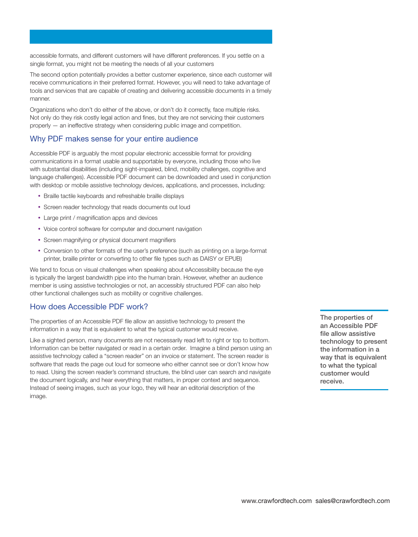**accessible formats, and different customers will have different preferences. If you settle on a single format, you might not be meeting the needs of all your customers** 

**The second option potentially provides a better customer experience, since each customer will receive communications in their preferred format. However, you will need to take advantage of tools and services that are capable of creating and delivering accessible documents in a timely manner.** 

**Organizations who don't do either of the above, or don't do it correctly, face multiple risks. Not only do they risk costly legal action and fines, but they are not servicing their customers properly — an ineffective strategy when considering public image and competition.** 

## **Why PDF makes sense for your entire audience**

**Accessible PDF is arguably the most popular electronic accessible format for providing communications in a format usable and supportable by everyone, including those who live with substantial disabilities (including sight-impaired, blind, mobility challenges, cognitive and language challenges). Accessible PDF document can be downloaded and used in conjunction with desktop or mobile assistive technology devices, applications, and processes, including:** 

- **Braille tactile keyboards and refreshable braille displays**
- **Screen reader technology that reads documents out loud**
- **Large print / magnification apps and devices**
- **Voice control software for computer and document navigation**
- **Screen magnifying or physical document magnifiers**
- **Conversion to other formats of the user's preference (such as printing on a large-format printer, braille printer or converting to other file types such as DAISY or EPUB)**

**We tend to focus on visual challenges when speaking about eAccessibility because the eye is typically the largest bandwidth pipe into the human brain. However, whether an audience member is using assistive technologies or not, an accessibly structured PDF can also help other functional challenges such as mobility or cognitive challenges.** 

#### **How does Accessible PDF work?**

**The properties of an Accessible PDF file allow an assistive technology to present the information in a way that is equivalent to what the typical customer would receive.** 

**Like a sighted person, many documents are not necessarily read left to right or top to bottom. Information can be better navigated or read in a certain order. Imagine a blind person using an assistive technology called a "screen reader" on an invoice or statement. The screen reader is software that reads the page out loud for someone who either cannot see or don't know how to read. Using the screen reader's command structure, the blind user can search and navigate the document logically, and hear everything that matters, in proper context and sequence. Instead of seeing images, such as your logo, they will hear an editorial description of the image.** 

**The properties of an Accessible PDF file allow assistive technology to present the information in a way that is equivalent to what the typical customer would receive.**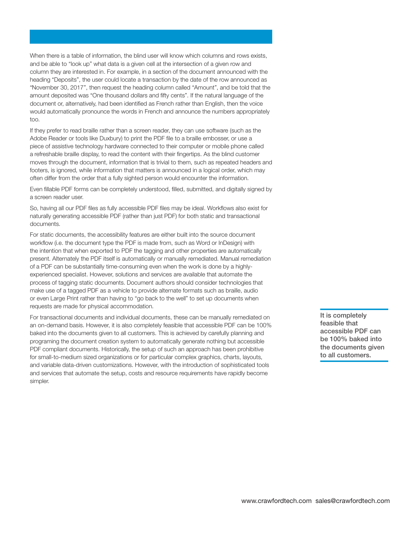**When there is a table of information, the blind user will know which columns and rows exists, and be able to "look up" what data is a given cell at the intersection of a given row and column they are interested in. For example, in a section of the document announced with the heading "Deposits", the user could locate a transaction by the date of the row announced as "November 30, 2017", then request the heading column called "Amount", and be told that the amount deposited was "One thousand dollars and fifty cents". If the natural language of the document or, alternatively, had been identified as French rather than English, then the voice would automatically pronounce the words in French and announce the numbers appropriately too.** 

**If they prefer to read braille rather than a screen reader, they can use software (such as the Adobe Reader or tools like Duxbury) to print the PDF file to a braille embosser, or use a piece of assistive technology hardware connected to their computer or mobile phone called a refreshable braille display, to read the content with their fingertips. As the blind customer moves through the document, information that is trivial to them, such as repeated headers and footers, is ignored, while information that matters is announced in a logical order, which may often differ from the order that a fully sighted person would encounter the information.** 

**Even fillable PDF forms can be completely understood, filled, submitted, and digitally signed by a screen reader user.** 

**So, having all our PDF files as fully accessible PDF files may be ideal. Workflows also exist for naturally generating accessible PDF (rather than just PDF) for both static and transactional documents.** 

**For static documents, the accessibility features are either built into the source document workflow (i.e. the document type the PDF is made from, such as Word or InDesign) with the intention that when exported to PDF the tagging and other properties are automatically present. Alternately the PDF itself is automatically or manually remediated. Manual remediation of a PDF can be substantially time-consuming even when the work is done by a highlyexperienced specialist. However, solutions and services are available that automate the process of tagging static documents. Document authors should consider technologies that make use of a tagged PDF as a vehicle to provide alternate formats such as braille, audio or even Large Print rather than having to "go back to the well" to set up documents when requests are made for physical accommodation.** 

**For transactional documents and individual documents, these can be manually remediated on an on-demand basis. However, it is also completely feasible that accessible PDF can be 100% baked into the documents given to all customers. This is achieved by carefully planning and programing the document creation system to automatically generate nothing but accessible PDF compliant documents. Historically, the setup of such an approach has been prohibitive for small-to-medium sized organizations or for particular complex graphics, charts, layouts, and variable data-driven customizations. However, with the introduction of sophisticated tools and services that automate the setup, costs and resource requirements have rapidly become simpler.** 

**It is completely feasible that accessible PDF can be 100% baked into the documents given to all customers.**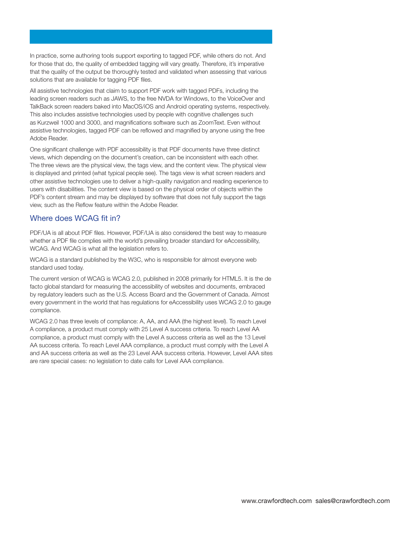**In practice, some authoring tools support exporting to tagged PDF, while others do not. And for those that do, the quality of embedded tagging will vary greatly. Therefore, it's imperative that the quality of the output be thoroughly tested and validated when assessing that various solutions that are available for tagging PDF files.** 

**All assistive technologies that claim to support PDF work with tagged PDFs, including the leading screen readers such as JAWS, to the free NVDA for Windows, to the VoiceOver and TalkBack screen readers baked into MacOS/iOS and Android operating systems, respectively. This also includes assistive technologies used by people with cognitive challenges such as Kurzweil 1000 and 3000, and magnifications software such as ZoomText. Even without assistive technologies, tagged PDF can be reflowed and magnified by anyone using the free Adobe Reader.** 

**One significant challenge with PDF accessibility is that PDF documents have three distinct views, which depending on the document's creation, can be inconsistent with each other. The three views are the physical view, the tags view, and the content view. The physical view is displayed and printed (what typical people see). The tags view is what screen readers and other assistive technologies use to deliver a high-quality navigation and reading experience to users with disabilities. The content view is based on the physical order of objects within the PDF's content stream and may be displayed by software that does not fully support the tags view, such as the Reflow feature within the Adobe Reader.** 

## **Where does WCAG fit in?**

**PDF/UA is all about PDF files. However, PDF/UA is also considered the best way to measure whether a PDF file complies with the world's prevailing broader standard for eAccessibility, WCAG. And WCAG is what all the legislation refers to.** 

**WCAG is a standard published by the W3C, who is responsible for almost everyone web standard used today.** 

**The current version of WCAG is WCAG 2.0, published in 2008 primarily for HTML5. It is the de facto global standard for measuring the accessibility of websites and documents, embraced by regulatory leaders such as the U.S. Access Board and the Government of Canada. Almost every government in the world that has regulations for eAccessibility uses WCAG 2.0 to gauge compliance.** 

**WCAG 2.0 has three levels of compliance: A, AA, and AAA (the highest level). To reach Level A compliance, a product must comply with 25 Level A success criteria. To reach Level AA compliance, a product must comply with the Level A success criteria as well as the 13 Level AA success criteria. To reach Level AAA compliance, a product must comply with the Level A and AA success criteria as well as the 23 Level AAA success criteria. However, Level AAA sites are rare special cases: no legislation to date calls for Level AAA compliance.**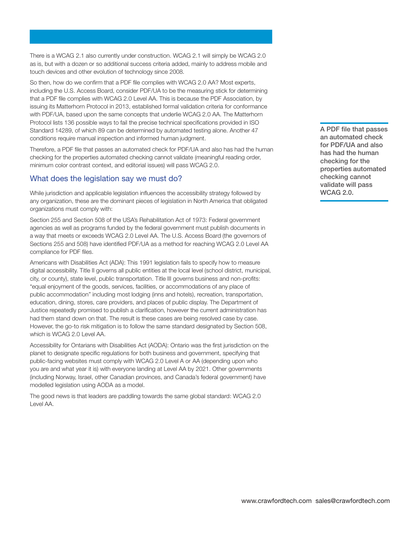**There is a WCAG 2.1 also currently under construction. WCAG 2.1 will simply be WCAG 2.0 as is, but with a dozen or so additional success criteria added, mainly to address mobile and touch devices and other evolution of technology since 2008.** 

**So then, how do we confirm that a PDF file complies with WCAG 2.0 AA? Most experts, including the U.S. Access Board, consider PDF/UA to be the measuring stick for determining that a PDF file complies with WCAG 2.0 Level AA. This is because the PDF Association, by issuing its Matterhorn Protocol in 2013, established formal validation criteria for conformance with PDF/UA, based upon the same concepts that underlie WCAG 2.0 AA. The Matterhorn Protocol lists 136 possible ways to fail the precise technical specifications provided in ISO Standard 14289, of which 89 can be determined by automated testing alone. Another 47 conditions require manual inspection and informed human judgment.** 

**Therefore, a PDF file that passes an automated check for PDF/UA and also has had the human checking for the properties automated checking cannot validate (meaningful reading order, minimum color contrast context, and editorial issues) will pass WCAG 2.0.** 

#### **What does the legislation say we must do?**

**While jurisdiction and applicable legislation influences the accessibility strategy followed by any organization, these are the dominant pieces of legislation in North America that obligated organizations must comply with:** 

**Section 255 and Section 508 of the USA's Rehabilitation Act of 1973: Federal government agencies as well as programs funded by the federal government must publish documents in a way that meets or exceeds WCAG 2.0 Level AA. The U.S. Access Board (the governors of Sections 255 and 508) have identified PDF/UA as a method for reaching WCAG 2.0 Level AA compliance for PDF files.** 

**Americans with Disabilities Act (ADA): This 1991 legislation fails to specify how to measure digital accessibility. Title II governs all public entities at the local level (school district, municipal, city, or county), state level, public transportation. Title III governs business and non-profits: "equal enjoyment of the goods, services, facilities, or accommodations of any place of public accommodation" including most lodging (inns and hotels), recreation, transportation, education, dining, stores, care providers, and places of public display. The Department of Justice repeatedly promised to publish a clarification, however the current administration has had them stand down on that. The result is these cases are being resolved case by case. However, the go-to risk mitigation is to follow the same standard designated by Section 508, which is WCAG 2.0 Level AA.** 

**Accessibility for Ontarians with Disabilities Act (AODA): Ontario was the first jurisdiction on the planet to designate specific regulations for both business and government, specifying that public-facing websites must comply with WCAG 2.0 Level A or AA (depending upon who you are and what year it is) with everyone landing at Level AA by 2021. Other governments (including Norway, Israel, other Canadian provinces, and Canada's federal government) have modelled legislation using AODA as a model.** 

**The good news is that leaders are paddling towards the same global standard: WCAG 2.0 Level AA.** 

**A PDF file that passes an automated check for PDF/UA and also has had the human checking for the properties automated checking cannot validate will pass WCAG 2.0.**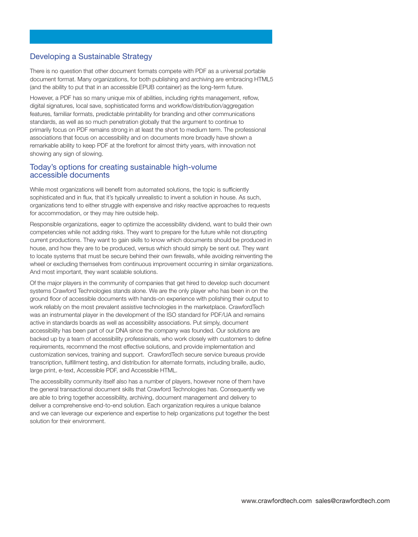## **Developing a Sustainable Strategy**

**There is no question that other document formats compete with PDF as a universal portable document format. Many organizations, for both publishing and archiving are embracing HTML5 (and the ability to put that in an accessible EPUB container) as the long-term future.** 

**However, a PDF has so many unique mix of abilities, including rights management, reflow, digital signatures, local save, sophisticated forms and workflow/distribution/aggregation features, familiar formats, predictable printability for branding and other communications standards, as well as so much penetration globally that the argument to continue to primarily focus on PDF remains strong in at least the short to medium term. The professional associations that focus on accessibility and on documents more broadly have shown a remarkable ability to keep PDF at the forefront for almost thirty years, with innovation not showing any sign of slowing.** 

#### **Today's options for creating sustainable high-volume accessible documents**

**While most organizations will benefit from automated solutions, the topic is sufficiently sophisticated and in flux, that it's typically unrealistic to invent a solution in house. As such, organizations tend to either struggle with expensive and risky reactive approaches to requests for accommodation, or they may hire outside help.** 

**Responsible organizations, eager to optimize the accessibility dividend, want to build their own competencies while not adding risks. They want to prepare for the future while not disrupting current productions. They want to gain skills to know which documents should be produced in house, and how they are to be produced, versus which should simply be sent out. They want to locate systems that must be secure behind their own firewalls, while avoiding reinventing the wheel or excluding themselves from continuous improvement occurring in similar organizations. And most important, they want scalable solutions.** 

**Of the major players in the community of companies that get hired to develop such document systems Crawford Technologies stands alone. We are the only player who has been in on the ground floor of accessible documents with hands-on experience with polishing their output to work reliably on the most prevalent assistive technologies in the marketplace. CrawfordTech was an instrumental player in the development of the ISO standard for PDF/UA and remains active in standards boards as well as accessibility associations. Put simply, document accessibility has been part of our DNA since the company was founded. Our solutions are backed up by a team of accessibility professionals, who work closely with customers to define requirements, recommend the most effective solutions, and provide implementation and customization services, training and support. CrawfordTech secure service bureaus provide transcription, fulfillment testing, and distribution for alternate formats, including braille, audio, large print, e-text, Accessible PDF, and Accessible HTML.** 

**The accessibility community itself also has a number of players, however none of them have the general transactional document skills that Crawford Technologies has. Consequently we are able to bring together accessibility, archiving, document management and delivery to deliver a comprehensive end-to-end solution. Each organization requires a unique balance and we can leverage our experience and expertise to help organizations put together the best solution for their environment.**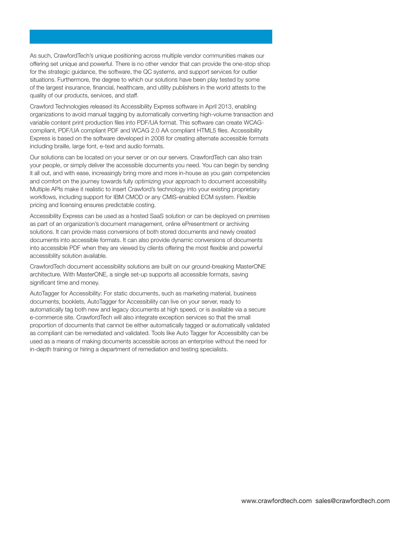**As such, CrawfordTech's unique positioning across multiple vendor communities makes our offering set unique and powerful. There is no other vendor that can provide the one-stop shop for the strategic guidance, the software, the QC systems, and support services for outlier situations. Furthermore, the degree to which our solutions have been play tested by some of the largest insurance, financial, healthcare, and utility publishers in the world attests to the quality of our products, services, and staff.** 

**Crawford Technologies released its Accessibility Express software in April 2013, enabling organizations to avoid manual tagging by automatically converting high-volume transaction and variable content print production files into PDF/UA format. This software can create WCAGcompliant, PDF/UA compliant PDF and WCAG 2.0 AA compliant HTML5 files. Accessibility Express is based on the software developed in 2008 for creating alternate accessible formats including braille, large font, e-text and audio formats.** 

**Our solutions can be located on your server or on our servers. CrawfordTech can also train your people, or simply deliver the accessible documents you need. You can begin by sending it all out, and with ease, increasingly bring more and more in-house as you gain competencies and comfort on the journey towards fully optimizing your approach to document accessibility. Multiple APIs make it realistic to insert Crawford's technology into your existing proprietary workflows, including support for IBM CMOD or any CMIS-enabled ECM system. Flexible pricing and licensing ensures predictable costing.** 

**Accessibility Express can be used as a hosted SaaS solution or can be deployed on premises as part of an organization's document management, online ePresentment or archiving solutions. It can provide mass conversions of both stored documents and newly created documents into accessible formats. It can also provide dynamic conversions of documents into accessible PDF when they are viewed by clients offering the most flexible and powerful accessibility solution available.** 

**CrawfordTech document accessibility solutions are built on our ground-breaking MasterONE architecture. With MasterONE, a single set-up supports all accessible formats, saving significant time and money.** 

**AutoTagger for Accessibility: For static documents, such as marketing material, business documents, booklets, AutoTagger for Accessibility can live on your server, ready to automatically tag both new and legacy documents at high speed, or is available via a secure e-commerce site. CrawfordTech will also integrate exception services so that the small proportion of documents that cannot be either automatically tagged or automatically validated as compliant can be remediated and validated. Tools like Auto Tagger for Accessibility can be used as a means of making documents accessible across an enterprise without the need for in-depth training or hiring a department of remediation and testing specialists.**